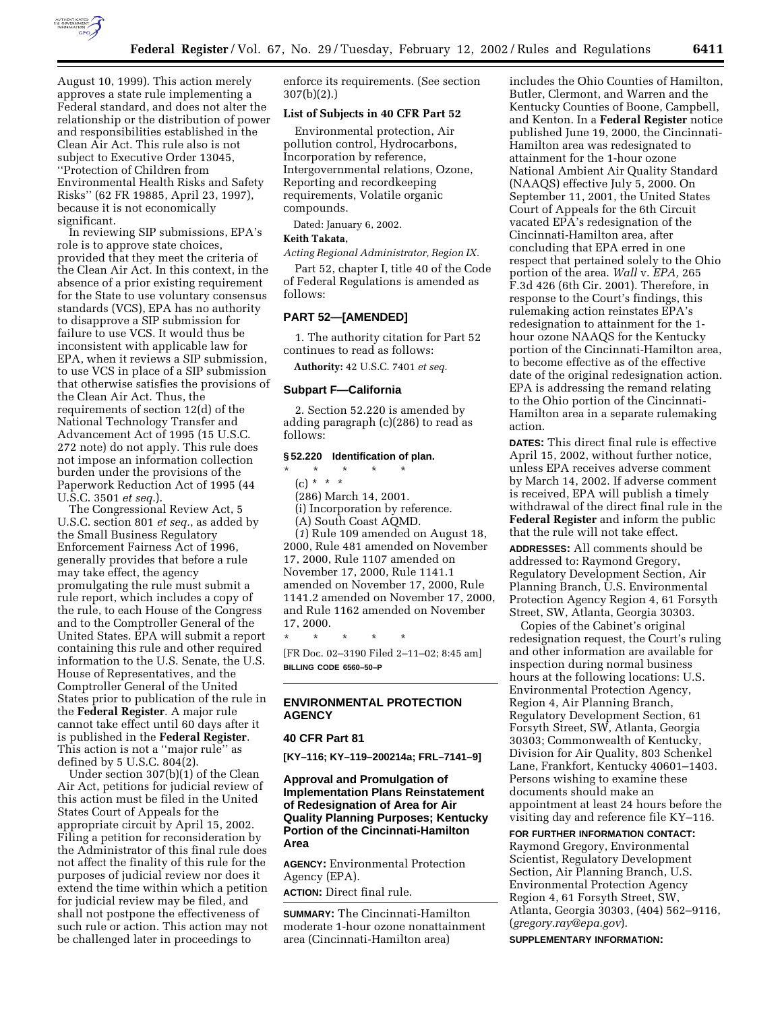

August 10, 1999). This action merely approves a state rule implementing a Federal standard, and does not alter the relationship or the distribution of power and responsibilities established in the Clean Air Act. This rule also is not subject to Executive Order 13045, ''Protection of Children from Environmental Health Risks and Safety Risks'' (62 FR 19885, April 23, 1997), because it is not economically significant.

In reviewing SIP submissions, EPA's role is to approve state choices, provided that they meet the criteria of the Clean Air Act. In this context, in the absence of a prior existing requirement for the State to use voluntary consensus standards (VCS), EPA has no authority to disapprove a SIP submission for failure to use VCS. It would thus be inconsistent with applicable law for EPA, when it reviews a SIP submission, to use VCS in place of a SIP submission that otherwise satisfies the provisions of the Clean Air Act. Thus, the requirements of section 12(d) of the National Technology Transfer and Advancement Act of 1995 (15 U.S.C. 272 note) do not apply. This rule does not impose an information collection burden under the provisions of the Paperwork Reduction Act of 1995 (44 U.S.C. 3501 *et seq.*).

The Congressional Review Act, 5 U.S.C. section 801 *et seq.*, as added by the Small Business Regulatory Enforcement Fairness Act of 1996, generally provides that before a rule may take effect, the agency promulgating the rule must submit a rule report, which includes a copy of the rule, to each House of the Congress and to the Comptroller General of the United States. EPA will submit a report containing this rule and other required information to the U.S. Senate, the U.S. House of Representatives, and the Comptroller General of the United States prior to publication of the rule in the **Federal Register**. A major rule cannot take effect until 60 days after it is published in the **Federal Register**. This action is not a ''major rule'' as defined by 5 U.S.C. 804(2).

Under section 307(b)(1) of the Clean Air Act, petitions for judicial review of this action must be filed in the United States Court of Appeals for the appropriate circuit by April 15, 2002. Filing a petition for reconsideration by the Administrator of this final rule does not affect the finality of this rule for the purposes of judicial review nor does it extend the time within which a petition for judicial review may be filed, and shall not postpone the effectiveness of such rule or action. This action may not be challenged later in proceedings to

enforce its requirements. (See section 307(b)(2).)

## **List of Subjects in 40 CFR Part 52**

Environmental protection, Air pollution control, Hydrocarbons, Incorporation by reference, Intergovernmental relations, Ozone, Reporting and recordkeeping requirements, Volatile organic compounds.

Dated: January 6, 2002.

# **Keith Takata,**

*Acting Regional Administrator, Region IX.*

Part 52, chapter I, title 40 of the Code of Federal Regulations is amended as follows:

# **PART 52—[AMENDED]**

1. The authority citation for Part 52 continues to read as follows:

**Authority:** 42 U.S.C. 7401 *et seq.*

#### **Subpart F—California**

2. Section 52.220 is amended by adding paragraph (c)(286) to read as follows:

# **§ 52.220 Identification of plan.**

\* \* \* \* \* (c) \* \* \*

(286) March 14, 2001.

(i) Incorporation by reference.

(A) South Coast AQMD.

(*1*) Rule 109 amended on August 18, 2000, Rule 481 amended on November 17, 2000, Rule 1107 amended on November 17, 2000, Rule 1141.1 amended on November 17, 2000, Rule 1141.2 amended on November 17, 2000, and Rule 1162 amended on November 17, 2000.

\* \* \* \* \* [FR Doc. 02–3190 Filed 2–11–02; 8:45 am] **BILLING CODE 6560–50–P**

# **ENVIRONMENTAL PROTECTION AGENCY**

## **40 CFR Part 81**

**[KY–116; KY–119–200214a; FRL–7141–9]**

# **Approval and Promulgation of Implementation Plans Reinstatement of Redesignation of Area for Air Quality Planning Purposes; Kentucky Portion of the Cincinnati-Hamilton Area**

**AGENCY:** Environmental Protection Agency (EPA).

**ACTION:** Direct final rule.

**SUMMARY:** The Cincinnati-Hamilton moderate 1-hour ozone nonattainment area (Cincinnati-Hamilton area)

includes the Ohio Counties of Hamilton, Butler, Clermont, and Warren and the Kentucky Counties of Boone, Campbell, and Kenton. In a **Federal Register** notice published June 19, 2000, the Cincinnati-Hamilton area was redesignated to attainment for the 1-hour ozone National Ambient Air Quality Standard (NAAQS) effective July 5, 2000. On September 11, 2001, the United States Court of Appeals for the 6th Circuit vacated EPA's redesignation of the Cincinnati-Hamilton area, after concluding that EPA erred in one respect that pertained solely to the Ohio portion of the area. *Wall* v. *EPA,* 265 F.3d 426 (6th Cir. 2001). Therefore, in response to the Court's findings, this rulemaking action reinstates EPA's redesignation to attainment for the 1 hour ozone NAAQS for the Kentucky portion of the Cincinnati-Hamilton area, to become effective as of the effective date of the original redesignation action. EPA is addressing the remand relating to the Ohio portion of the Cincinnati-Hamilton area in a separate rulemaking action.

**DATES:** This direct final rule is effective April 15, 2002, without further notice, unless EPA receives adverse comment by March 14, 2002. If adverse comment is received, EPA will publish a timely withdrawal of the direct final rule in the **Federal Register** and inform the public that the rule will not take effect.

**ADDRESSES:** All comments should be addressed to: Raymond Gregory, Regulatory Development Section, Air Planning Branch, U.S. Environmental Protection Agency Region 4, 61 Forsyth Street, SW, Atlanta, Georgia 30303.

Copies of the Cabinet's original redesignation request, the Court's ruling and other information are available for inspection during normal business hours at the following locations: U.S. Environmental Protection Agency, Region 4, Air Planning Branch, Regulatory Development Section, 61 Forsyth Street, SW, Atlanta, Georgia 30303; Commonwealth of Kentucky, Division for Air Quality, 803 Schenkel Lane, Frankfort, Kentucky 40601–1403. Persons wishing to examine these documents should make an appointment at least 24 hours before the visiting day and reference file KY–116.

**FOR FURTHER INFORMATION CONTACT:** Raymond Gregory, Environmental Scientist, Regulatory Development Section, Air Planning Branch, U.S. Environmental Protection Agency Region 4, 61 Forsyth Street, SW, Atlanta, Georgia 30303, (404) 562–9116, (*gregory.ray@epa.gov*).

**SUPPLEMENTARY INFORMATION:**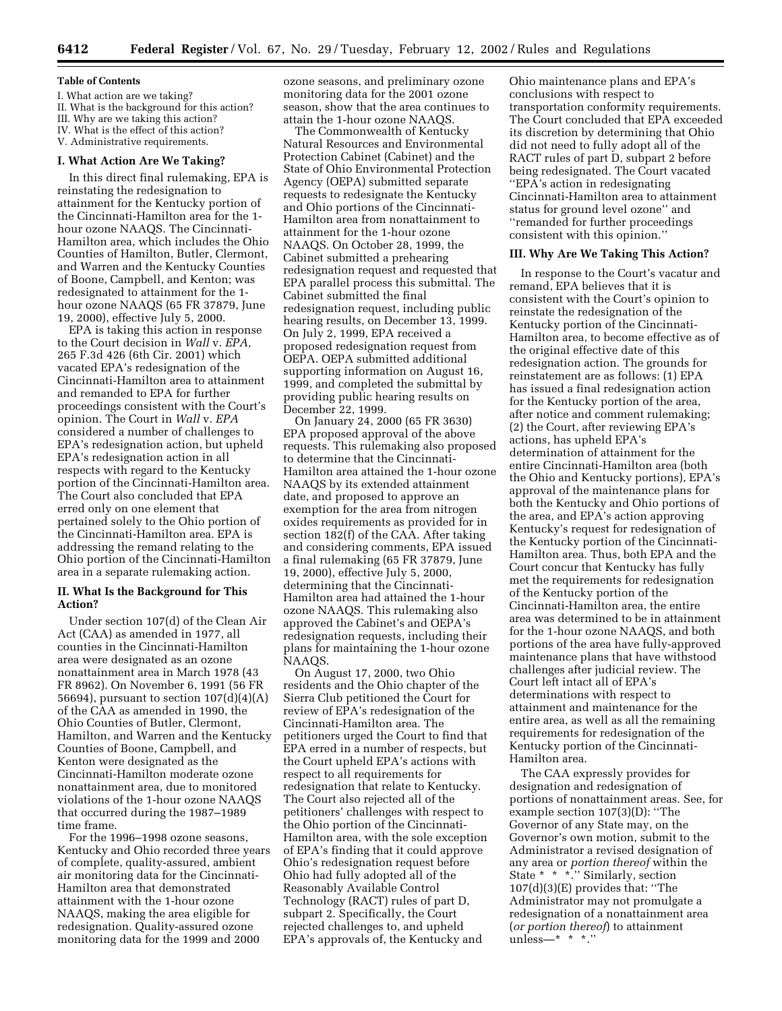#### **Table of Contents**

I. What action are we taking? II. What is the background for this action? III. Why are we taking this action? IV. What is the effect of this action? V. Administrative requirements.

## **I. What Action Are We Taking?**

In this direct final rulemaking, EPA is reinstating the redesignation to attainment for the Kentucky portion of the Cincinnati-Hamilton area for the 1 hour ozone NAAQS. The Cincinnati-Hamilton area, which includes the Ohio Counties of Hamilton, Butler, Clermont, and Warren and the Kentucky Counties of Boone, Campbell, and Kenton; was redesignated to attainment for the 1 hour ozone NAAQS (65 FR 37879, June 19, 2000), effective July 5, 2000.

EPA is taking this action in response to the Court decision in *Wall* v. *EPA,* 265 F.3d 426 (6th Cir. 2001) which vacated EPA's redesignation of the Cincinnati-Hamilton area to attainment and remanded to EPA for further proceedings consistent with the Court's opinion. The Court in *Wall* v. *EPA* considered a number of challenges to EPA's redesignation action, but upheld EPA's redesignation action in all respects with regard to the Kentucky portion of the Cincinnati-Hamilton area. The Court also concluded that EPA erred only on one element that pertained solely to the Ohio portion of the Cincinnati-Hamilton area. EPA is addressing the remand relating to the Ohio portion of the Cincinnati-Hamilton area in a separate rulemaking action.

## **II. What Is the Background for This Action?**

Under section 107(d) of the Clean Air Act (CAA) as amended in 1977, all counties in the Cincinnati-Hamilton area were designated as an ozone nonattainment area in March 1978 (43 FR 8962). On November 6, 1991 (56 FR 56694), pursuant to section  $107(d)(4)(A)$ of the CAA as amended in 1990, the Ohio Counties of Butler, Clermont, Hamilton, and Warren and the Kentucky Counties of Boone, Campbell, and Kenton were designated as the Cincinnati-Hamilton moderate ozone nonattainment area, due to monitored violations of the 1-hour ozone NAAQS that occurred during the 1987–1989 time frame.

For the 1996–1998 ozone seasons, Kentucky and Ohio recorded three years of complete, quality-assured, ambient air monitoring data for the Cincinnati-Hamilton area that demonstrated attainment with the 1-hour ozone NAAQS, making the area eligible for redesignation. Quality-assured ozone monitoring data for the 1999 and 2000

ozone seasons, and preliminary ozone monitoring data for the 2001 ozone season, show that the area continues to attain the 1-hour ozone NAAQS.

The Commonwealth of Kentucky Natural Resources and Environmental Protection Cabinet (Cabinet) and the State of Ohio Environmental Protection Agency (OEPA) submitted separate requests to redesignate the Kentucky and Ohio portions of the Cincinnati-Hamilton area from nonattainment to attainment for the 1-hour ozone NAAQS. On October 28, 1999, the Cabinet submitted a prehearing redesignation request and requested that EPA parallel process this submittal. The Cabinet submitted the final redesignation request, including public hearing results, on December 13, 1999. On July 2, 1999, EPA received a proposed redesignation request from OEPA. OEPA submitted additional supporting information on August 16, 1999, and completed the submittal by providing public hearing results on December 22, 1999.

On January 24, 2000 (65 FR 3630) EPA proposed approval of the above requests. This rulemaking also proposed to determine that the Cincinnati-Hamilton area attained the 1-hour ozone NAAQS by its extended attainment date, and proposed to approve an exemption for the area from nitrogen oxides requirements as provided for in section 182(f) of the CAA. After taking and considering comments, EPA issued a final rulemaking (65 FR 37879, June 19, 2000), effective July 5, 2000, determining that the Cincinnati-Hamilton area had attained the 1-hour ozone NAAQS. This rulemaking also approved the Cabinet's and OEPA's redesignation requests, including their plans for maintaining the 1-hour ozone NAAQS.

On August 17, 2000, two Ohio residents and the Ohio chapter of the Sierra Club petitioned the Court for review of EPA's redesignation of the Cincinnati-Hamilton area. The petitioners urged the Court to find that EPA erred in a number of respects, but the Court upheld EPA's actions with respect to all requirements for redesignation that relate to Kentucky. The Court also rejected all of the petitioners' challenges with respect to the Ohio portion of the Cincinnati-Hamilton area, with the sole exception of EPA's finding that it could approve Ohio's redesignation request before Ohio had fully adopted all of the Reasonably Available Control Technology (RACT) rules of part D, subpart 2. Specifically, the Court rejected challenges to, and upheld EPA's approvals of, the Kentucky and

Ohio maintenance plans and EPA's conclusions with respect to transportation conformity requirements. The Court concluded that EPA exceeded its discretion by determining that Ohio did not need to fully adopt all of the RACT rules of part D, subpart 2 before being redesignated. The Court vacated ''EPA's action in redesignating Cincinnati-Hamilton area to attainment status for ground level ozone'' and ''remanded for further proceedings consistent with this opinion.''

## **III. Why Are We Taking This Action?**

In response to the Court's vacatur and remand, EPA believes that it is consistent with the Court's opinion to reinstate the redesignation of the Kentucky portion of the Cincinnati-Hamilton area, to become effective as of the original effective date of this redesignation action. The grounds for reinstatement are as follows: (1) EPA has issued a final redesignation action for the Kentucky portion of the area, after notice and comment rulemaking; (2) the Court, after reviewing EPA's actions, has upheld EPA's determination of attainment for the entire Cincinnati-Hamilton area (both the Ohio and Kentucky portions), EPA's approval of the maintenance plans for both the Kentucky and Ohio portions of the area, and EPA's action approving Kentucky's request for redesignation of the Kentucky portion of the Cincinnati-Hamilton area. Thus, both EPA and the Court concur that Kentucky has fully met the requirements for redesignation of the Kentucky portion of the Cincinnati-Hamilton area, the entire area was determined to be in attainment for the 1-hour ozone NAAQS, and both portions of the area have fully-approved maintenance plans that have withstood challenges after judicial review. The Court left intact all of EPA's determinations with respect to attainment and maintenance for the entire area, as well as all the remaining requirements for redesignation of the Kentucky portion of the Cincinnati-Hamilton area.

The CAA expressly provides for designation and redesignation of portions of nonattainment areas. See, for example section 107(3)(D): ''The Governor of any State may, on the Governor's own motion, submit to the Administrator a revised designation of any area or *portion thereof* within the State \* \* \*.'' Similarly, section 107(d)(3)(E) provides that: ''The Administrator may not promulgate a redesignation of a nonattainment area (*or portion thereof*) to attainment unless—\* \* \*.''